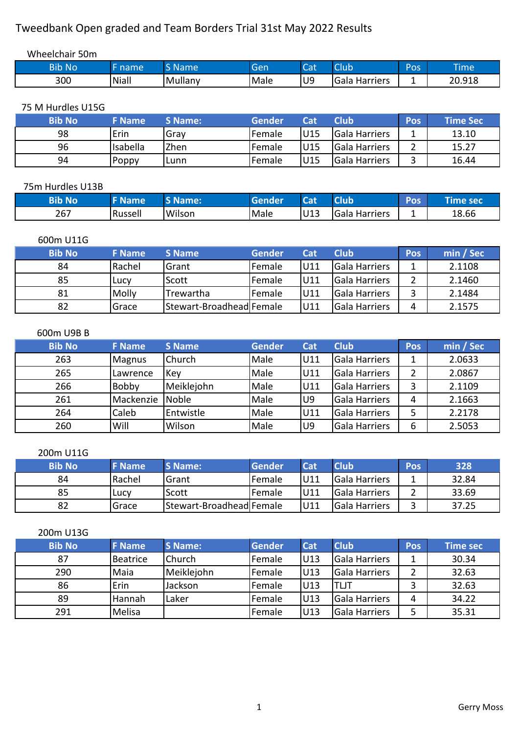## Tweedbank Open graded and Team Borders Trial 31st May 2022 Results

| Wheelchair 50m |       |         |      |                   |               |     |             |
|----------------|-------|---------|------|-------------------|---------------|-----|-------------|
| <b>Bib No</b>  | name  | S Name  | Gen  | $\sqrt{2}$<br>Cdl | Club          | Pos | <b>Time</b> |
| 300            | Niall | Mullany | Male | lU9               | Gala Harriers | -   | 20.918      |

75 M Hurdles U15G

| <b>Bib No</b> | <b>F</b> Name | <b>S</b> Name: | Gender          | Cat | Club                 | Pos | <b>Time Sec</b> |
|---------------|---------------|----------------|-----------------|-----|----------------------|-----|-----------------|
| 98            | Erin          | Grav           | <b>IFemale</b>  | U15 | <b>Gala Harriers</b> |     | 13.10           |
| 96            | Isabella      | Zhen           | <b>I</b> Female | U15 | <b>Gala Harriers</b> |     | 15.27           |
| 94            | Poppy         | Lunn           | <b>IFemale</b>  | U15 | <b>Gala Harriers</b> |     | 16.44           |

#### 75m Hurdles U13B

| <b>Allah</b> No | <b>E</b> Name | Mame:  | <b>Gender</b> | $R - 1$<br>$\sim$ | <b>Related</b>   | Doc<br>rus. | -     |
|-----------------|---------------|--------|---------------|-------------------|------------------|-------------|-------|
| 267             | Russell       | Wilson | Male          | U13               | Gala<br>Harriers |             | 18.66 |

### 600m U11G

 $\mathsf{L}$ 

| <b>Bib No</b> | <b>F</b> Name | S Name                   | Gender         | Cat  | Club                 | <b>Pos</b> | min / Sec |
|---------------|---------------|--------------------------|----------------|------|----------------------|------------|-----------|
| 84            | Rachel        | Grant                    | <b>IFemale</b> | U11  | <b>Gala Harriers</b> |            | 2.1108    |
| 85            | Lucy          | Scott                    | <b>IFemale</b> | lU11 | <b>Gala Harriers</b> |            | 2.1460    |
| 81            | Molly         | Trewartha                | Female         | lU11 | <b>Gala Harriers</b> |            | 2.1484    |
| 82            | Grace         | Stewart-Broadhead Female |                | U11  | <b>Gala Harriers</b> |            | 2.1575    |

#### 600m U9B B

| <b>Bib No</b> | <b>F</b> Name | <b>S</b> Name | <b>Gender</b> | Cat            | <b>Club</b>          | Pos | min / Sec |
|---------------|---------------|---------------|---------------|----------------|----------------------|-----|-----------|
| 263           | <b>Magnus</b> | Church        | Male          | U11            | Gala Harriers        |     | 2.0633    |
| 265           | Lawrence      | Key           | Male          | U11            | Gala Harriers        |     | 2.0867    |
| 266           | <b>Bobby</b>  | Meiklejohn    | Male          | U11            | Gala Harriers        | າ   | 2.1109    |
| 261           | Mackenzie     | <b>Noble</b>  | Male          | U <sub>9</sub> | <b>Gala Harriers</b> | 4   | 2.1663    |
| 264           | Caleb         | Entwistle     | Male          | U11            | Gala Harriers        |     | 2.2178    |
| 260           | Will          | Wilson        | Male          | U9             | Gala Harriers        | 6   | 2.5053    |

#### 200m U11G

| <b>Bib No</b> | <b>F</b> Name | <b>S</b> Name:           | Gender         | Cat | <b>Club</b>    | <b>Pos</b> | 328   |
|---------------|---------------|--------------------------|----------------|-----|----------------|------------|-------|
| 84            | l Rachel      | <b>Grant</b>             | <b>IFemale</b> | U11 | lGala Harriers |            | 32.84 |
| 85            | Lucy          | Scott                    | <b>IFemale</b> | U11 | lGala Harriers |            | 33.69 |
| 82            | Grace         | Stewart-Broadhead Female |                | U11 | lGala Harriers |            | 37.25 |

#### 200m U13G

| <b>Bib No</b> | <b>F</b> Name | <b>S</b> Name: | <b>Gender</b> | Cat  | <b>Club</b>   | Pos | <b>Time sec</b> |
|---------------|---------------|----------------|---------------|------|---------------|-----|-----------------|
| 87            | Beatrice      | Church         | Female        | U13  | Gala Harriers |     | 30.34           |
| 290           | Maia          | Meiklejohn     | Female        | U13  | Gala Harriers |     | 32.63           |
| 86            | Erin          | Jackson        | Female        | IU13 | TLJT          |     | 32.63           |
| 89            | Hannah        | Laker          | Female        | U13  | Gala Harriers | 4   | 34.22           |
| 291           | Melisa        |                | Female        | U13  | Gala Harriers |     | 35.31           |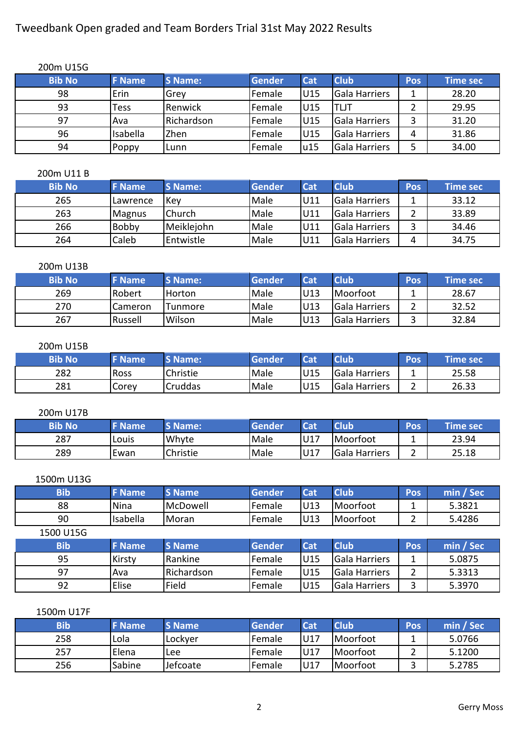## Tweedbank Open graded and Team Borders Trial 31st May 2022 Results

| 200m U15G     |               |                |        |                 |                      |            |           |
|---------------|---------------|----------------|--------|-----------------|----------------------|------------|-----------|
| <b>Bib No</b> | <b>F</b> Name | <b>S</b> Name: | Gender | Cat             | <b>Club</b>          | <b>Pos</b> | Time sec. |
| 98            | Erin          | Grev           | Female | U15             | Gala Harriers        |            | 28.20     |
| 93            | Tess          | Renwick        | Female | U <sub>15</sub> | ITLJT                |            | 29.95     |
| 97            | Ava           | Richardson     | Female | U <sub>15</sub> | Gala Harriers        | 3          | 31.20     |
| 96            | Isabella      | <b>Zhen</b>    | Female | U <sub>15</sub> | <b>Gala Harriers</b> | 4          | 31.86     |
| 94            | Poppy         | ILunn          | Female | u15             | Gala Harriers        |            | 34.00     |

#### 200m U11 B

| <b>Bib No</b> | <b>F</b> Name | S Name:       | Gender      | Cat | <b>Club</b>          | <b>Pos</b> | Time sec |
|---------------|---------------|---------------|-------------|-----|----------------------|------------|----------|
| 265           | ILawrence     | <b>Kev</b>    | <b>Male</b> | U11 | <b>Gala Harriers</b> |            | 33.12    |
| 263           | <b>Magnus</b> | <b>Church</b> | <b>Male</b> | U11 | <b>Gala Harriers</b> |            | 33.89    |
| 266           | <b>Bobby</b>  | Meiklejohn    | <b>Male</b> | U11 | <b>Gala Harriers</b> |            | 34.46    |
| 264           | Caleb         | Entwistle     | <b>Male</b> | U11 | <b>Gala Harriers</b> | л          | 34.75    |

#### 200m U13B

| <b>Bib No</b> | <b>F</b> Name | <b>S</b> Name: | Gender      | Cat  | <b>Club</b>          | Pos | Time sec \ |
|---------------|---------------|----------------|-------------|------|----------------------|-----|------------|
| 269           | .Robert       | Horton         | <b>Male</b> | IU13 | <i>I</i> Moorfoot    |     | 28.67      |
| 270           | Cameron       | Tunmore        | <b>Male</b> | IU13 | lGala Harriers       |     | 32.52      |
| 267           | Russell       | Wilson         | <b>Male</b> | IU13 | <b>Gala Harriers</b> |     | 32.84      |

#### 200m U15B

| <b>Bib No</b> | <b>F</b> Name | <b>S Name:</b> | <b>Gender</b> | いっす | <b>Club</b>   | Pos | <b>Time secve</b> |
|---------------|---------------|----------------|---------------|-----|---------------|-----|-------------------|
| 282           | <b>Ross</b>   | Christie       | <b>Male</b>   | U15 | Gala Harriers | --  | 25.58             |
| 281           | Corey         | Cruddas        | Male          | U15 | Gala Harriers | -   | 26.33             |

#### 200m U17B

| <b>Bib No</b> | <b>Name</b> | <b>S Name:</b> | Gender      | ا ہے۔ | <b>Club</b>   | Pos | Time sec |
|---------------|-------------|----------------|-------------|-------|---------------|-----|----------|
| 287           | Louis       | Whyte          | <b>Male</b> | U17   | Moorfoot      |     | 23.94    |
| 289           | Ewan        | Christie       | Male        | U17   | Gala Harriers | _   | 25.18    |

#### 1500m U13G

| <b>Bib</b> | <b>F</b> Name | <b>S</b> Name | <b>Gender</b> | <b>Cat</b> | <b>Club</b>   | Pos | min / Sec |
|------------|---------------|---------------|---------------|------------|---------------|-----|-----------|
| 88         | Nina          | McDowell      | Female        | U13        | Moorfoot      |     | 5.3821    |
| 90         | Isabella      | Moran         | Female        | U13        | Moorfoot      |     | 5.4286    |
| 1500 U15G  |               |               |               |            |               |     |           |
| <b>Bib</b> | <b>F</b> Name | <b>S</b> Name | <b>Gender</b> | <b>Cat</b> | <b>Club</b>   | Pos | min / Sec |
| 95         | Kirsty        | Rankine       | Female        | U15        | Gala Harriers |     | 5.0875    |
| 97         | Ava           | Richardson    | Female        | U15        | Gala Harriers | 2   | 5.3313    |
| 92         | Elise         | Field         | Female        | U15        | Gala Harriers | 3   | 5.3970    |

#### 1500m U17F

| <b>Bib</b> | <b>F</b> Name | <b>S</b> Name | Gender | Cat | <b>Club</b> | Pos | min / Sec |
|------------|---------------|---------------|--------|-----|-------------|-----|-----------|
| 258        | Lola          | lLockver      | Female | U17 | Moorfoot    |     | 5.0766    |
| 257        | Elena         | <b>Lee</b>    | Female | U17 | Moorfoot    |     | 5.1200    |
| 256        | Sabine        | Jefcoate      | Female | U17 | Moorfoot    |     | 5.2785    |